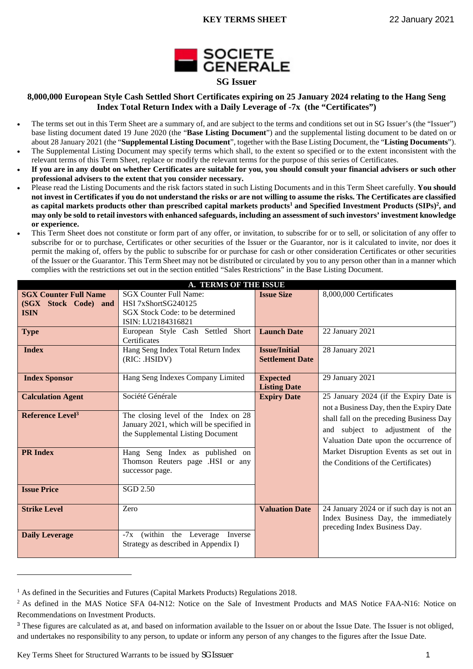

### **8,000,000 European Style Cash Settled Short Certificates expiring on 25 January 2024 relating to the Hang Seng Index Total Return Index with a Daily Leverage of -7x (the "Certificates")**

- The terms set out in this Term Sheet are a summary of, and are subject to the terms and conditions set out in SG Issuer's (the "Issuer") base listing document dated 19 June 2020 (the "**Base Listing Document**") and the supplemental listing document to be dated on or about 28 January 2021 (the "**Supplemental Listing Document**", together with the Base Listing Document, the "**Listing Documents**").
- The Supplemental Listing Document may specify terms which shall, to the extent so specified or to the extent inconsistent with the relevant terms of this Term Sheet, replace or modify the relevant terms for the purpose of this series of Certificates.
- **If you are in any doubt on whether Certificates are suitable for you, you should consult your financial advisers or such other professional advisers to the extent that you consider necessary.**
- Please read the Listing Documents and the risk factors stated in such Listing Documents and in this Term Sheet carefully. **You should not invest in Certificates if you do not understand the risks or are not willing to assume the risks. The Certificates are classified as capital markets products other than prescribed capital markets products<sup>1</sup> and Specified Investment Products (SIPs)<sup>2</sup> , and may only be sold to retail investors with enhanced safeguards, including an assessment of such investors' investment knowledge or experience.**
- This Term Sheet does not constitute or form part of any offer, or invitation, to subscribe for or to sell, or solicitation of any offer to subscribe for or to purchase, Certificates or other securities of the Issuer or the Guarantor, nor is it calculated to invite, nor does it permit the making of, offers by the public to subscribe for or purchase for cash or other consideration Certificates or other securities of the Issuer or the Guarantor. This Term Sheet may not be distributed or circulated by you to any person other than in a manner which complies with the restrictions set out in the section entitled "Sales Restrictions" in the Base Listing Document.

| <b>A. TERMS OF THE ISSUE</b> |                                          |                        |                                          |  |  |  |  |  |
|------------------------------|------------------------------------------|------------------------|------------------------------------------|--|--|--|--|--|
| <b>SGX Counter Full Name</b> | <b>SGX Counter Full Name:</b>            | <b>Issue Size</b>      | 8,000,000 Certificates                   |  |  |  |  |  |
| (SGX Stock Code) and         | HSI 7xShortSG240125                      |                        |                                          |  |  |  |  |  |
| <b>ISIN</b>                  | SGX Stock Code: to be determined         |                        |                                          |  |  |  |  |  |
|                              | ISIN: LU2184316821                       |                        |                                          |  |  |  |  |  |
| <b>Type</b>                  | European Style Cash Settled Short        | <b>Launch Date</b>     | 22 January 2021                          |  |  |  |  |  |
|                              | Certificates                             |                        |                                          |  |  |  |  |  |
| <b>Index</b>                 | Hang Seng Index Total Return Index       | <b>Issue/Initial</b>   | 28 January 2021                          |  |  |  |  |  |
|                              | (RIC: .HSIDV)                            | <b>Settlement Date</b> |                                          |  |  |  |  |  |
|                              |                                          |                        |                                          |  |  |  |  |  |
| <b>Index Sponsor</b>         | Hang Seng Indexes Company Limited        | <b>Expected</b>        | 29 January 2021                          |  |  |  |  |  |
|                              |                                          | <b>Listing Date</b>    |                                          |  |  |  |  |  |
| <b>Calculation Agent</b>     | Société Générale                         | <b>Expiry Date</b>     | 25 January 2024 (if the Expiry Date is   |  |  |  |  |  |
|                              |                                          |                        | not a Business Day, then the Expiry Date |  |  |  |  |  |
| Reference Level <sup>3</sup> | The closing level of the Index on 28     |                        | shall fall on the preceding Business Day |  |  |  |  |  |
|                              | January 2021, which will be specified in |                        |                                          |  |  |  |  |  |
|                              | the Supplemental Listing Document        |                        | and subject to adjustment of the         |  |  |  |  |  |
|                              |                                          |                        | Valuation Date upon the occurrence of    |  |  |  |  |  |
| <b>PR</b> Index              | Hang Seng Index as published on          |                        | Market Disruption Events as set out in   |  |  |  |  |  |
|                              | Thomson Reuters page .HSI or any         |                        | the Conditions of the Certificates)      |  |  |  |  |  |
|                              | successor page.                          |                        |                                          |  |  |  |  |  |
|                              |                                          |                        |                                          |  |  |  |  |  |
| <b>Issue Price</b>           | <b>SGD 2.50</b>                          |                        |                                          |  |  |  |  |  |
|                              |                                          |                        |                                          |  |  |  |  |  |
| <b>Strike Level</b>          | Zero                                     | <b>Valuation Date</b>  | 24 January 2024 or if such day is not an |  |  |  |  |  |
|                              |                                          |                        | Index Business Day, the immediately      |  |  |  |  |  |
|                              |                                          |                        | preceding Index Business Day.            |  |  |  |  |  |
| <b>Daily Leverage</b>        | $-7x$ (within the Leverage Inverse       |                        |                                          |  |  |  |  |  |
|                              | Strategy as described in Appendix I)     |                        |                                          |  |  |  |  |  |
|                              |                                          |                        |                                          |  |  |  |  |  |

<sup>&</sup>lt;sup>1</sup> As defined in the Securities and Futures (Capital Markets Products) Regulations 2018.

Key Terms Sheet for Structured Warrants to be issued by SG Issuer 1

<sup>&</sup>lt;sup>2</sup> As defined in the MAS Notice SFA 04-N12: Notice on the Sale of Investment Products and MAS Notice FAA-N16: Notice on Recommendations on Investment Products.

<sup>&</sup>lt;sup>3</sup> These figures are calculated as at, and based on information available to the Issuer on or about the Issue Date. The Issuer is not obliged, and undertakes no responsibility to any person, to update or inform any person of any changes to the figures after the Issue Date.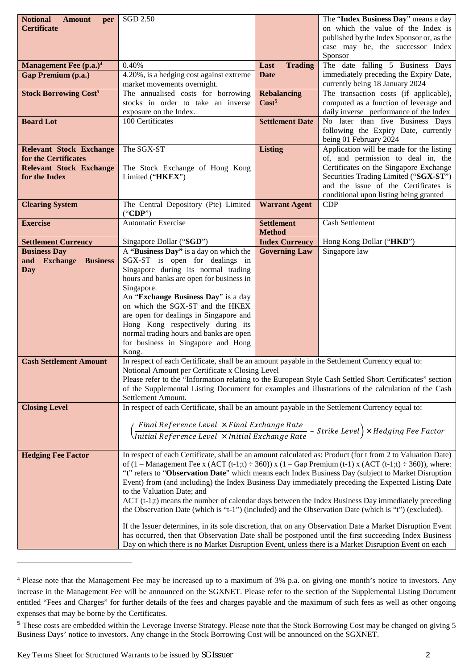| <b>Notional</b><br><b>Amount</b><br>per         | SGD 2.50                                                                                                                                                                                                                        |                        | The "Index Business Day" means a day                                                                                                                 |  |  |  |  |  |  |
|-------------------------------------------------|---------------------------------------------------------------------------------------------------------------------------------------------------------------------------------------------------------------------------------|------------------------|------------------------------------------------------------------------------------------------------------------------------------------------------|--|--|--|--|--|--|
| <b>Certificate</b>                              |                                                                                                                                                                                                                                 |                        | on which the value of the Index is                                                                                                                   |  |  |  |  |  |  |
|                                                 |                                                                                                                                                                                                                                 |                        | published by the Index Sponsor or, as the                                                                                                            |  |  |  |  |  |  |
|                                                 |                                                                                                                                                                                                                                 |                        | case may be, the successor Index                                                                                                                     |  |  |  |  |  |  |
| Management Fee (p.a.) <sup>4</sup>              | 0.40%                                                                                                                                                                                                                           | Last                   | Sponsor<br>The date falling 5 Business Days                                                                                                          |  |  |  |  |  |  |
| <b>Gap Premium (p.a.)</b>                       | 4.20%, is a hedging cost against extreme                                                                                                                                                                                        | <b>Trading</b><br>Date | immediately preceding the Expiry Date,                                                                                                               |  |  |  |  |  |  |
|                                                 | market movements overnight.                                                                                                                                                                                                     |                        | currently being 18 January 2024                                                                                                                      |  |  |  |  |  |  |
| <b>Stock Borrowing Cost<sup>5</sup></b>         | The annualised costs for borrowing                                                                                                                                                                                              | <b>Rebalancing</b>     | The transaction costs (if applicable),                                                                                                               |  |  |  |  |  |  |
|                                                 | stocks in order to take an inverse                                                                                                                                                                                              | Cost <sup>5</sup>      | computed as a function of leverage and                                                                                                               |  |  |  |  |  |  |
|                                                 | exposure on the Index.                                                                                                                                                                                                          |                        | daily inverse performance of the Index                                                                                                               |  |  |  |  |  |  |
| <b>Board Lot</b>                                | 100 Certificates                                                                                                                                                                                                                | <b>Settlement Date</b> | No later than five Business Days                                                                                                                     |  |  |  |  |  |  |
|                                                 |                                                                                                                                                                                                                                 |                        | following the Expiry Date, currently                                                                                                                 |  |  |  |  |  |  |
|                                                 |                                                                                                                                                                                                                                 |                        | being 01 February 2024                                                                                                                               |  |  |  |  |  |  |
| <b>Relevant Stock Exchange</b>                  | The SGX-ST                                                                                                                                                                                                                      | <b>Listing</b>         | Application will be made for the listing                                                                                                             |  |  |  |  |  |  |
| for the Certificates                            |                                                                                                                                                                                                                                 |                        | of, and permission to deal in, the<br>Certificates on the Singapore Exchange                                                                         |  |  |  |  |  |  |
| <b>Relevant Stock Exchange</b><br>for the Index | The Stock Exchange of Hong Kong<br>Limited ("HKEX")                                                                                                                                                                             |                        | Securities Trading Limited ("SGX-ST")                                                                                                                |  |  |  |  |  |  |
|                                                 |                                                                                                                                                                                                                                 |                        | and the issue of the Certificates is                                                                                                                 |  |  |  |  |  |  |
|                                                 |                                                                                                                                                                                                                                 |                        | conditional upon listing being granted                                                                                                               |  |  |  |  |  |  |
| <b>Clearing System</b>                          | The Central Depository (Pte) Limited                                                                                                                                                                                            | <b>Warrant Agent</b>   | CDP                                                                                                                                                  |  |  |  |  |  |  |
|                                                 | ("CDP")                                                                                                                                                                                                                         |                        |                                                                                                                                                      |  |  |  |  |  |  |
| <b>Exercise</b>                                 | Automatic Exercise                                                                                                                                                                                                              | <b>Settlement</b>      | Cash Settlement                                                                                                                                      |  |  |  |  |  |  |
|                                                 |                                                                                                                                                                                                                                 | <b>Method</b>          |                                                                                                                                                      |  |  |  |  |  |  |
| <b>Settlement Currency</b>                      | Singapore Dollar ("SGD")                                                                                                                                                                                                        | <b>Index Currency</b>  | Hong Kong Dollar ("HKD")                                                                                                                             |  |  |  |  |  |  |
| <b>Business Day</b><br>and Exchange Business    | A "Business Day" is a day on which the<br>SGX-ST is open for dealings in                                                                                                                                                        | <b>Governing Law</b>   | Singapore law                                                                                                                                        |  |  |  |  |  |  |
| Day                                             | Singapore during its normal trading                                                                                                                                                                                             |                        |                                                                                                                                                      |  |  |  |  |  |  |
|                                                 | hours and banks are open for business in                                                                                                                                                                                        |                        |                                                                                                                                                      |  |  |  |  |  |  |
|                                                 | Singapore.                                                                                                                                                                                                                      |                        |                                                                                                                                                      |  |  |  |  |  |  |
|                                                 | An "Exchange Business Day" is a day                                                                                                                                                                                             |                        |                                                                                                                                                      |  |  |  |  |  |  |
|                                                 | on which the SGX-ST and the HKEX                                                                                                                                                                                                |                        |                                                                                                                                                      |  |  |  |  |  |  |
|                                                 | are open for dealings in Singapore and                                                                                                                                                                                          |                        |                                                                                                                                                      |  |  |  |  |  |  |
|                                                 | Hong Kong respectively during its                                                                                                                                                                                               |                        |                                                                                                                                                      |  |  |  |  |  |  |
|                                                 | normal trading hours and banks are open<br>for business in Singapore and Hong                                                                                                                                                   |                        |                                                                                                                                                      |  |  |  |  |  |  |
|                                                 | Kong.                                                                                                                                                                                                                           |                        |                                                                                                                                                      |  |  |  |  |  |  |
| <b>Cash Settlement Amount</b>                   | In respect of each Certificate, shall be an amount payable in the Settlement Currency equal to:                                                                                                                                 |                        |                                                                                                                                                      |  |  |  |  |  |  |
|                                                 | Notional Amount per Certificate x Closing Level                                                                                                                                                                                 |                        |                                                                                                                                                      |  |  |  |  |  |  |
|                                                 |                                                                                                                                                                                                                                 |                        | Please refer to the "Information relating to the European Style Cash Settled Short Certificates" section                                             |  |  |  |  |  |  |
|                                                 |                                                                                                                                                                                                                                 |                        | of the Supplemental Listing Document for examples and illustrations of the calculation of the Cash                                                   |  |  |  |  |  |  |
|                                                 | Settlement Amount.                                                                                                                                                                                                              |                        |                                                                                                                                                      |  |  |  |  |  |  |
| <b>Closing Level</b>                            | In respect of each Certificate, shall be an amount payable in the Settlement Currency equal to:                                                                                                                                 |                        |                                                                                                                                                      |  |  |  |  |  |  |
|                                                 | $\left(\frac{\textit{Final Reference Level } \times \textit{Final Exchange Rate}}{\textit{Initial Reference Level } \times \textit{Initial Exchange Rate}} - \textit{Strike Level}}\right) \times \textit{Hedging Free Factor}$ |                        |                                                                                                                                                      |  |  |  |  |  |  |
|                                                 |                                                                                                                                                                                                                                 |                        |                                                                                                                                                      |  |  |  |  |  |  |
|                                                 |                                                                                                                                                                                                                                 |                        |                                                                                                                                                      |  |  |  |  |  |  |
| <b>Hedging Fee Factor</b>                       |                                                                                                                                                                                                                                 |                        | In respect of each Certificate, shall be an amount calculated as: Product (for t from 2 to Valuation Date)                                           |  |  |  |  |  |  |
|                                                 |                                                                                                                                                                                                                                 |                        | of $(1 - \text{Management} \text{ Fe } x \text{ (ACT (t-1;t) ÷ 360))} x (1 - \text{Gap} \text{ Premium (t-1)} x (\text{ACT (t-1;t) ÷ 360)), where:}$ |  |  |  |  |  |  |
|                                                 |                                                                                                                                                                                                                                 |                        | "t" refers to "Observation Date" which means each Index Business Day (subject to Market Disruption                                                   |  |  |  |  |  |  |
|                                                 |                                                                                                                                                                                                                                 |                        | Event) from (and including) the Index Business Day immediately preceding the Expected Listing Date                                                   |  |  |  |  |  |  |
|                                                 | to the Valuation Date; and                                                                                                                                                                                                      |                        | $ACT$ (t-1;t) means the number of calendar days between the Index Business Day immediately preceding                                                 |  |  |  |  |  |  |
|                                                 | the Observation Date (which is "t-1") (included) and the Observation Date (which is "t") (excluded).                                                                                                                            |                        |                                                                                                                                                      |  |  |  |  |  |  |
|                                                 |                                                                                                                                                                                                                                 |                        |                                                                                                                                                      |  |  |  |  |  |  |
|                                                 |                                                                                                                                                                                                                                 |                        | If the Issuer determines, in its sole discretion, that on any Observation Date a Market Disruption Event                                             |  |  |  |  |  |  |
|                                                 |                                                                                                                                                                                                                                 |                        | has occurred, then that Observation Date shall be postponed until the first succeeding Index Business                                                |  |  |  |  |  |  |
|                                                 | Day on which there is no Market Disruption Event, unless there is a Market Disruption Event on each                                                                                                                             |                        |                                                                                                                                                      |  |  |  |  |  |  |

<sup>4</sup> Please note that the Management Fee may be increased up to a maximum of 3% p.a. on giving one month's notice to investors. Any increase in the Management Fee will be announced on the SGXNET. Please refer to the section of the Supplemental Listing Document entitled "Fees and Charges" for further details of the fees and charges payable and the maximum of such fees as well as other ongoing expenses that may be borne by the Certificates.

<sup>&</sup>lt;sup>5</sup> These costs are embedded within the Leverage Inverse Strategy. Please note that the Stock Borrowing Cost may be changed on giving 5 Business Days' notice to investors. Any change in the Stock Borrowing Cost will be announced on the SGXNET.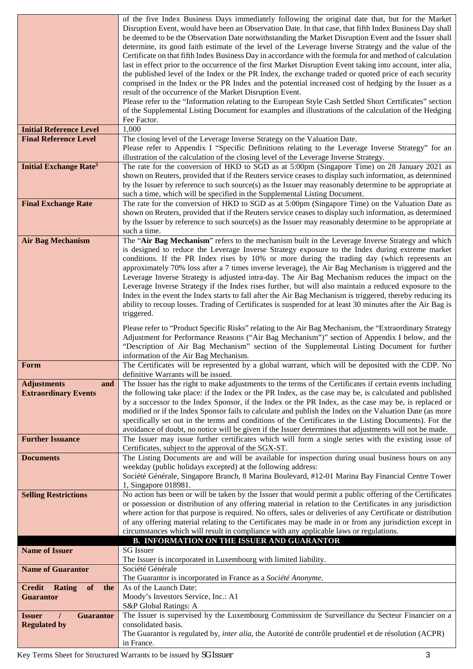|                                          | of the five Index Business Days immediately following the original date that, but for the Market                             |
|------------------------------------------|------------------------------------------------------------------------------------------------------------------------------|
|                                          | Disruption Event, would have been an Observation Date. In that case, that fifth Index Business Day shall                     |
|                                          | be deemed to be the Observation Date notwithstanding the Market Disruption Event and the Issuer shall                        |
|                                          | determine, its good faith estimate of the level of the Leverage Inverse Strategy and the value of the                        |
|                                          | Certificate on that fifth Index Business Day in accordance with the formula for and method of calculation                    |
|                                          | last in effect prior to the occurrence of the first Market Disruption Event taking into account, inter alia,                 |
|                                          | the published level of the Index or the PR Index, the exchange traded or quoted price of each security                       |
|                                          | comprised in the Index or the PR Index and the potential increased cost of hedging by the Issuer as a                        |
|                                          | result of the occurrence of the Market Disruption Event.                                                                     |
|                                          | Please refer to the "Information relating to the European Style Cash Settled Short Certificates" section                     |
|                                          | of the Supplemental Listing Document for examples and illustrations of the calculation of the Hedging                        |
|                                          | Fee Factor.                                                                                                                  |
| <b>Initial Reference Level</b>           | 1,000                                                                                                                        |
| <b>Final Reference Level</b>             | The closing level of the Leverage Inverse Strategy on the Valuation Date.                                                    |
|                                          | Please refer to Appendix I "Specific Definitions relating to the Leverage Inverse Strategy" for an                           |
|                                          | illustration of the calculation of the closing level of the Leverage Inverse Strategy.                                       |
| <b>Initial Exchange Rate<sup>3</sup></b> | The rate for the conversion of HKD to SGD as at 5:00pm (Singapore Time) on 28 January 2021 as                                |
|                                          | shown on Reuters, provided that if the Reuters service ceases to display such information, as determined                     |
|                                          | by the Issuer by reference to such source(s) as the Issuer may reasonably determine to be appropriate at                     |
|                                          |                                                                                                                              |
|                                          | such a time, which will be specified in the Supplemental Listing Document.                                                   |
| <b>Final Exchange Rate</b>               | The rate for the conversion of HKD to SGD as at 5:00pm (Singapore Time) on the Valuation Date as                             |
|                                          | shown on Reuters, provided that if the Reuters service ceases to display such information, as determined                     |
|                                          | by the Issuer by reference to such source(s) as the Issuer may reasonably determine to be appropriate at                     |
|                                          | such a time.                                                                                                                 |
| <b>Air Bag Mechanism</b>                 | The "Air Bag Mechanism" refers to the mechanism built in the Leverage Inverse Strategy and which                             |
|                                          | is designed to reduce the Leverage Inverse Strategy exposure to the Index during extreme market                              |
|                                          | conditions. If the PR Index rises by 10% or more during the trading day (which represents an                                 |
|                                          | approximately 70% loss after a 7 times inverse leverage), the Air Bag Mechanism is triggered and the                         |
|                                          | Leverage Inverse Strategy is adjusted intra-day. The Air Bag Mechanism reduces the impact on the                             |
|                                          | Leverage Inverse Strategy if the Index rises further, but will also maintain a reduced exposure to the                       |
|                                          | Index in the event the Index starts to fall after the Air Bag Mechanism is triggered, thereby reducing its                   |
|                                          | ability to recoup losses. Trading of Certificates is suspended for at least 30 minutes after the Air Bag is                  |
|                                          | triggered.                                                                                                                   |
|                                          |                                                                                                                              |
|                                          | Please refer to "Product Specific Risks" relating to the Air Bag Mechanism, the "Extraordinary Strategy                      |
|                                          | Adjustment for Performance Reasons ("Air Bag Mechanism")" section of Appendix I below, and the                               |
|                                          | "Description of Air Bag Mechanism" section of the Supplemental Listing Document for further                                  |
|                                          |                                                                                                                              |
|                                          | information of the Air Bag Mechanism.                                                                                        |
| Form                                     | The Certificates will be represented by a global warrant, which will be deposited with the CDP. No                           |
|                                          | definitive Warrants will be issued.                                                                                          |
| <b>Adjustments</b><br>and                | The Issuer has the right to make adjustments to the terms of the Certificates if certain events including                    |
| <b>Extraordinary Events</b>              | the following take place: if the Index or the PR Index, as the case may be, is calculated and published                      |
|                                          | by a successor to the Index Sponsor, if the Index or the PR Index, as the case may be, is replaced or                        |
|                                          | modified or if the Index Sponsor fails to calculate and publish the Index on the Valuation Date (as more                     |
|                                          | specifically set out in the terms and conditions of the Certificates in the Listing Documents). For the                      |
|                                          | avoidance of doubt, no notice will be given if the Issuer determines that adjustments will not be made.                      |
| <b>Further Issuance</b>                  | The Issuer may issue further certificates which will form a single series with the existing issue of                         |
|                                          | Certificates, subject to the approval of the SGX-ST.                                                                         |
| <b>Documents</b>                         | The Listing Documents are and will be available for inspection during usual business hours on any                            |
|                                          | weekday (public holidays excepted) at the following address:                                                                 |
|                                          | Société Générale, Singapore Branch, 8 Marina Boulevard, #12-01 Marina Bay Financial Centre Tower                             |
|                                          | 1, Singapore 018981.                                                                                                         |
|                                          | No action has been or will be taken by the Issuer that would permit a public offering of the Certificates                    |
| <b>Selling Restrictions</b>              |                                                                                                                              |
|                                          | or possession or distribution of any offering material in relation to the Certificates in any jurisdiction                   |
|                                          | where action for that purpose is required. No offers, sales or deliveries of any Certificate or distribution                 |
|                                          | of any offering material relating to the Certificates may be made in or from any jurisdiction except in                      |
|                                          | circumstances which will result in compliance with any applicable laws or regulations.                                       |
|                                          | <b>B. INFORMATION ON THE ISSUER AND GUARANTOR</b>                                                                            |
| <b>Name of Issuer</b>                    | <b>SG</b> Issuer                                                                                                             |
|                                          | The Issuer is incorporated in Luxembourg with limited liability.                                                             |
| <b>Name of Guarantor</b>                 | Société Générale                                                                                                             |
|                                          | The Guarantor is incorporated in France as a Société Anonyme.                                                                |
| of<br><b>Credit Rating</b><br>the        | As of the Launch Date:                                                                                                       |
| <b>Guarantor</b>                         | Moody's Investors Service, Inc.: A1                                                                                          |
|                                          | S&P Global Ratings: A                                                                                                        |
| <b>Issuer</b><br><b>Guarantor</b>        | The Issuer is supervised by the Luxembourg Commission de Surveillance du Secteur Financier on a                              |
| <b>Regulated by</b>                      | consolidated basis.                                                                                                          |
|                                          | The Guarantor is regulated by, <i>inter alia</i> , the Autorité de contrôle prudentiel et de résolution (ACPR)<br>in France. |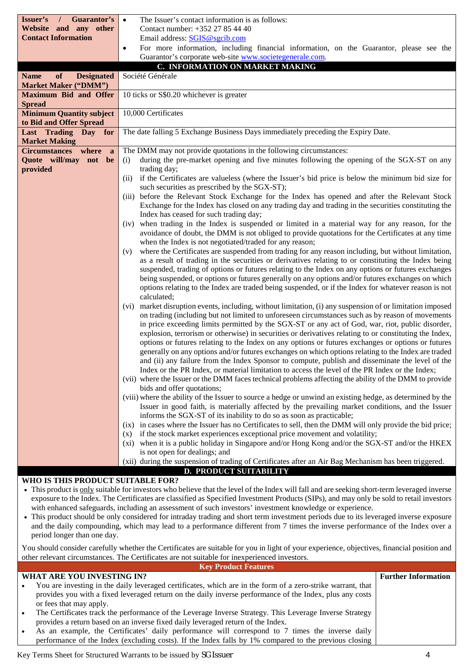| Guarantor's<br>Issuer's<br>$\prime$             | The Issuer's contact information is as follows:<br>$\bullet$                                                                                                                                                     |
|-------------------------------------------------|------------------------------------------------------------------------------------------------------------------------------------------------------------------------------------------------------------------|
| Website and any other                           | Contact number: +352 27 85 44 40                                                                                                                                                                                 |
| <b>Contact Information</b>                      | Email address: SGIS@sgcib.com                                                                                                                                                                                    |
|                                                 | For more information, including financial information, on the Guarantor, please see the<br>$\bullet$                                                                                                             |
|                                                 | Guarantor's corporate web-site www.societegenerale.com.                                                                                                                                                          |
|                                                 | C. INFORMATION ON MARKET MAKING                                                                                                                                                                                  |
| <b>Name</b><br>of<br><b>Designated</b>          | Société Générale                                                                                                                                                                                                 |
| <b>Market Maker ("DMM")</b>                     |                                                                                                                                                                                                                  |
| <b>Maximum Bid and Offer</b>                    | 10 ticks or S\$0.20 whichever is greater                                                                                                                                                                         |
| <b>Spread</b>                                   |                                                                                                                                                                                                                  |
| <b>Minimum Quantity subject</b>                 | 10,000 Certificates                                                                                                                                                                                              |
| to Bid and Offer Spread                         |                                                                                                                                                                                                                  |
| Last Trading Day<br>for<br><b>Market Making</b> | The date falling 5 Exchange Business Days immediately preceding the Expiry Date.                                                                                                                                 |
| Circumstances where<br><sub>a</sub>             | The DMM may not provide quotations in the following circumstances:                                                                                                                                               |
| Quote will/may not be                           | during the pre-market opening and five minutes following the opening of the SGX-ST on any<br>(i)                                                                                                                 |
| provided                                        | trading day;                                                                                                                                                                                                     |
|                                                 | if the Certificates are valueless (where the Issuer's bid price is below the minimum bid size for<br>(ii)<br>such securities as prescribed by the SGX-ST);                                                       |
|                                                 | (iii) before the Relevant Stock Exchange for the Index has opened and after the Relevant Stock                                                                                                                   |
|                                                 | Exchange for the Index has closed on any trading day and trading in the securities constituting the                                                                                                              |
|                                                 | Index has ceased for such trading day;                                                                                                                                                                           |
|                                                 | when trading in the Index is suspended or limited in a material way for any reason, for the<br>(iv)                                                                                                              |
|                                                 | avoidance of doubt, the DMM is not obliged to provide quotations for the Certificates at any time                                                                                                                |
|                                                 | when the Index is not negotiated/traded for any reason;                                                                                                                                                          |
|                                                 | where the Certificates are suspended from trading for any reason including, but without limitation,<br>(v)                                                                                                       |
|                                                 | as a result of trading in the securities or derivatives relating to or constituting the Index being                                                                                                              |
|                                                 | suspended, trading of options or futures relating to the Index on any options or futures exchanges                                                                                                               |
|                                                 | being suspended, or options or futures generally on any options and/or futures exchanges on which                                                                                                                |
|                                                 | options relating to the Index are traded being suspended, or if the Index for whatever reason is not                                                                                                             |
|                                                 | calculated;                                                                                                                                                                                                      |
|                                                 | market disruption events, including, without limitation, (i) any suspension of or limitation imposed<br>(vi)<br>on trading (including but not limited to unforeseen circumstances such as by reason of movements |
|                                                 | in price exceeding limits permitted by the SGX-ST or any act of God, war, riot, public disorder,                                                                                                                 |
|                                                 | explosion, terrorism or otherwise) in securities or derivatives relating to or constituting the Index,                                                                                                           |
|                                                 | options or futures relating to the Index on any options or futures exchanges or options or futures                                                                                                               |
|                                                 | generally on any options and/or futures exchanges on which options relating to the Index are traded                                                                                                              |
|                                                 | and (ii) any failure from the Index Sponsor to compute, publish and disseminate the level of the                                                                                                                 |
|                                                 | Index or the PR Index, or material limitation to access the level of the PR Index or the Index;                                                                                                                  |
|                                                 | (vii) where the Issuer or the DMM faces technical problems affecting the ability of the DMM to provide                                                                                                           |
|                                                 | bids and offer quotations;                                                                                                                                                                                       |
|                                                 | (viii) where the ability of the Issuer to source a hedge or unwind an existing hedge, as determined by the                                                                                                       |
|                                                 | Issuer in good faith, is materially affected by the prevailing market conditions, and the Issuer                                                                                                                 |
|                                                 | informs the SGX-ST of its inability to do so as soon as practicable;                                                                                                                                             |
|                                                 | (ix) in cases where the Issuer has no Certificates to sell, then the DMM will only provide the bid price;                                                                                                        |
|                                                 | if the stock market experiences exceptional price movement and volatility;<br>(x)                                                                                                                                |
|                                                 | (xi) when it is a public holiday in Singapore and/or Hong Kong and/or the SGX-ST and/or the HKEX                                                                                                                 |
|                                                 | is not open for dealings; and<br>(xii) during the suspension of trading of Certificates after an Air Bag Mechanism has been triggered.                                                                           |
|                                                 | <b>D. PRODUCT SUITABILITY</b>                                                                                                                                                                                    |

#### **WHO IS THIS PRODUCT SUITABLE FOR?**

- This product is only suitable for investors who believe that the level of the Index will fall and are seeking short-term leveraged inverse exposure to the Index. The Certificates are classified as Specified Investment Products (SIPs), and may only be sold to retail investors with enhanced safeguards, including an assessment of such investors' investment knowledge or experience.
- This product should be only considered for intraday trading and short term investment periods due to its leveraged inverse exposure and the daily compounding, which may lead to a performance different from 7 times the inverse performance of the Index over a period longer than one day.

You should consider carefully whether the Certificates are suitable for you in light of your experience, objectives, financial position and other relevant circumstances. The Certificates are not suitable for inexperienced investors.

|           | <b>Key Product Features</b>                                                                                 |                            |
|-----------|-------------------------------------------------------------------------------------------------------------|----------------------------|
|           | WHAT ARE YOU INVESTING IN?                                                                                  | <b>Further Information</b> |
| $\bullet$ | You are investing in the daily leveraged certificates, which are in the form of a zero-strike warrant, that |                            |
|           | provides you with a fixed leveraged return on the daily inverse performance of the Index, plus any costs    |                            |
|           | or fees that may apply.                                                                                     |                            |
| $\bullet$ | The Certificates track the performance of the Leverage Inverse Strategy. This Leverage Inverse Strategy     |                            |
|           | provides a return based on an inverse fixed daily leveraged return of the Index.                            |                            |
|           | As an example, the Certificates' daily performance will correspond to 7 times the inverse daily             |                            |
|           | performance of the Index (excluding costs). If the Index falls by 1% compared to the previous closing       |                            |
|           |                                                                                                             |                            |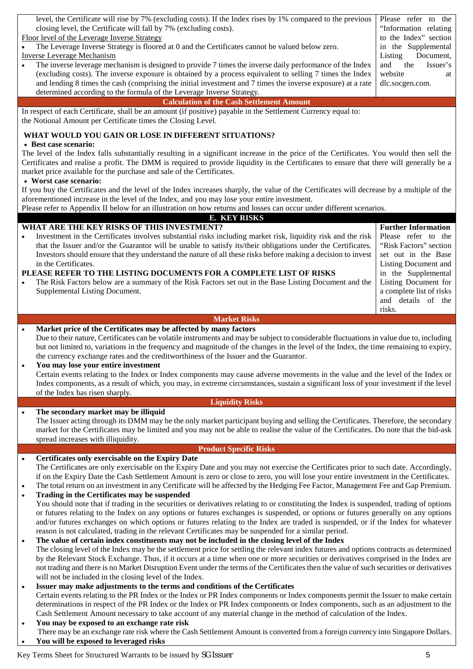|                                                                                                                                                                   | "Information relating      |
|-------------------------------------------------------------------------------------------------------------------------------------------------------------------|----------------------------|
| Floor level of the Leverage Inverse Strategy                                                                                                                      | to the Index" section      |
| The Leverage Inverse Strategy is floored at 0 and the Certificates cannot be valued below zero.                                                                   | in the Supplemental        |
| <b>Inverse Leverage Mechanism</b>                                                                                                                                 | Document,<br>Listing       |
| The inverse leverage mechanism is designed to provide 7 times the inverse daily performance of the Index<br>$\bullet$                                             | and<br>the<br>Issuer's     |
| (excluding costs). The inverse exposure is obtained by a process equivalent to selling 7 times the Index                                                          | website<br>at              |
| and lending 8 times the cash (comprising the initial investment and 7 times the inverse exposure) at a rate                                                       | dlc.socgen.com.            |
| determined according to the formula of the Leverage Inverse Strategy.                                                                                             |                            |
| <b>Calculation of the Cash Settlement Amount</b>                                                                                                                  |                            |
| In respect of each Certificate, shall be an amount (if positive) payable in the Settlement Currency equal to:                                                     |                            |
| the Notional Amount per Certificate times the Closing Level.                                                                                                      |                            |
| WHAT WOULD YOU GAIN OR LOSE IN DIFFERENT SITUATIONS?                                                                                                              |                            |
| • Best case scenario:                                                                                                                                             |                            |
| The level of the Index falls substantially resulting in a significant increase in the price of the Certificates. You would then sell the                          |                            |
| Certificates and realise a profit. The DMM is required to provide liquidity in the Certificates to ensure that there will generally be a                          |                            |
| market price available for the purchase and sale of the Certificates.                                                                                             |                            |
| • Worst case scenario:                                                                                                                                            |                            |
| If you buy the Certificates and the level of the Index increases sharply, the value of the Certificates will decrease by a multiple of the                        |                            |
| aforementioned increase in the level of the Index, and you may lose your entire investment.                                                                       |                            |
| Please refer to Appendix II below for an illustration on how returns and losses can occur under different scenarios.                                              |                            |
| <b>E. KEY RISKS</b>                                                                                                                                               |                            |
| WHAT ARE THE KEY RISKS OF THIS INVESTMENT?                                                                                                                        | <b>Further Information</b> |
| Investment in the Certificates involves substantial risks including market risk, liquidity risk and the risk<br>$\bullet$                                         | Please refer to the        |
| that the Issuer and/or the Guarantor will be unable to satisfy its/their obligations under the Certificates.                                                      | "Risk Factors" section     |
| Investors should ensure that they understand the nature of all these risks before making a decision to invest                                                     | set out in the Base        |
| in the Certificates.                                                                                                                                              | Listing Document and       |
| PLEASE REFER TO THE LISTING DOCUMENTS FOR A COMPLETE LIST OF RISKS                                                                                                | in the Supplemental        |
| The Risk Factors below are a summary of the Risk Factors set out in the Base Listing Document and the                                                             | Listing Document for       |
| Supplemental Listing Document.                                                                                                                                    | a complete list of risks   |
|                                                                                                                                                                   | and details of the         |
|                                                                                                                                                                   | risks.                     |
| <b>Market Risks</b>                                                                                                                                               |                            |
| Market price of the Certificates may be affected by many factors<br>$\bullet$                                                                                     |                            |
| Due to their nature, Certificates can be volatile instruments and may be subject to considerable fluctuations in value due to, including                          |                            |
| but not limited to, variations in the frequency and magnitude of the changes in the level of the Index, the time remaining to expiry,                             |                            |
|                                                                                                                                                                   |                            |
| the currency exchange rates and the creditworthiness of the Issuer and the Guarantor.                                                                             |                            |
| You may lose your entire investment<br>$\bullet$                                                                                                                  |                            |
| Certain events relating to the Index or Index components may cause adverse movements in the value and the level of the Index or                                   |                            |
| Index components, as a result of which, you may, in extreme circumstances, sustain a significant loss of your investment if the level                             |                            |
| of the Index has risen sharply.                                                                                                                                   |                            |
| <b>Liquidity Risks</b>                                                                                                                                            |                            |
| The secondary market may be illiquid<br>$\bullet$                                                                                                                 |                            |
| The Issuer acting through its DMM may be the only market participant buying and selling the Certificates. Therefore, the secondary                                |                            |
| market for the Certificates may be limited and you may not be able to realise the value of the Certificates. Do note that the bid-ask                             |                            |
| spread increases with illiquidity.                                                                                                                                |                            |
| <b>Product Specific Risks</b>                                                                                                                                     |                            |
| Certificates only exercisable on the Expiry Date<br>$\bullet$                                                                                                     |                            |
| The Certificates are only exercisable on the Expiry Date and you may not exercise the Certificates prior to such date. Accordingly,                               |                            |
| if on the Expiry Date the Cash Settlement Amount is zero or close to zero, you will lose your entire investment in the Certificates.                              |                            |
| The total return on an investment in any Certificate will be affected by the Hedging Fee Factor, Management Fee and Gap Premium.<br>$\bullet$                     |                            |
| Trading in the Certificates may be suspended<br>$\bullet$                                                                                                         |                            |
| You should note that if trading in the securities or derivatives relating to or constituting the Index is suspended, trading of options                           |                            |
| or futures relating to the Index on any options or futures exchanges is suspended, or options or futures generally on any options                                 |                            |
| and/or futures exchanges on which options or futures relating to the Index are traded is suspended, or if the Index for whatever                                  |                            |
| reason is not calculated, trading in the relevant Certificates may be suspended for a similar period.                                                             |                            |
| The value of certain index constituents may not be included in the closing level of the Index<br>$\bullet$                                                        |                            |
| The closing level of the Index may be the settlement price for settling the relevant index futures and options contracts as determined                            |                            |
| by the Relevant Stock Exchange. Thus, if it occurs at a time when one or more securities or derivatives comprised in the Index are                                |                            |
| not trading and there is no Market Disruption Event under the terms of the Certificates then the value of such securities or derivatives                          |                            |
| will not be included in the closing level of the Index.                                                                                                           |                            |
| Issuer may make adjustments to the terms and conditions of the Certificates<br>$\bullet$                                                                          |                            |
| Certain events relating to the PR Index or the Index or PR Index components or Index components permit the Issuer to make certain                                 |                            |
| determinations in respect of the PR Index or the Index or PR Index components or Index components, such as an adjustment to the                                   |                            |
| Cash Settlement Amount necessary to take account of any material change in the method of calculation of the Index.<br>You may be exposed to an exchange rate risk |                            |

level, the Certificate will rise by 7% (excluding costs). If the Index rises by 1% compared to the previous | Please refer to the

There may be an exchange rate risk where the Cash Settlement Amount is converted from a foreign currency into Singapore Dollars. **You will be exposed to leveraged risks**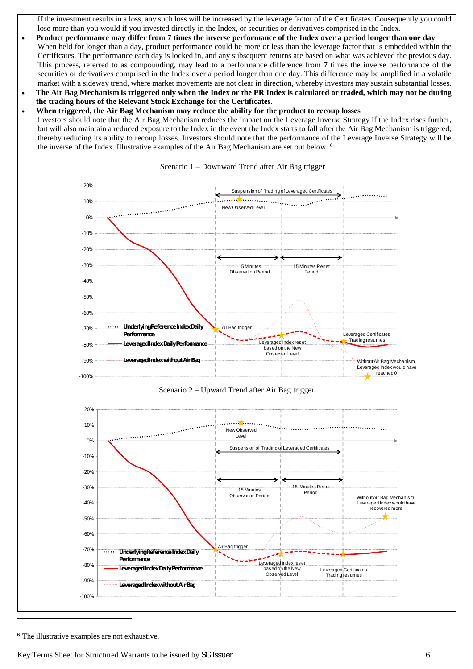If the investment results in a loss, any such loss will be increased by the leverage factor of the Certificates. Consequently you could lose more than you would if you invested directly in the Index, or securities or derivatives comprised in the Index.

- **Product performance may differ from 7 times the inverse performance of the Index over a period longer than one day** When held for longer than a day, product performance could be more or less than the leverage factor that is embedded within the Certificates. The performance each day is locked in, and any subsequent returns are based on what was achieved the previous day. This process, referred to as compounding, may lead to a performance difference from **7** times the inverse performance of the securities or derivatives comprised in the Index over a period longer than one day. This difference may be amplified in a volatile market with a sideway trend, where market movements are not clear in direction, whereby investors may sustain substantial losses.
- **The Air Bag Mechanism is triggered only when the Index or the PR Index is calculated or traded, which may not be during the trading hours of the Relevant Stock Exchange for the Certificates.**
- **When triggered, the Air Bag Mechanism may reduce the ability for the product to recoup losses**
- Investors should note that the Air Bag Mechanism reduces the impact on the Leverage Inverse Strategy if the Index rises further, but will also maintain a reduced exposure to the Index in the event the Index starts to fall after the Air Bag Mechanism is triggered, thereby reducing its ability to recoup losses. Investors should note that the performance of the Leverage Inverse Strategy will be the inverse of the Index. Illustrative examples of the Air Bag Mechanism are set out below. <sup>6</sup>



#### Scenario 1 – Downward Trend after Air Bag trigger





<sup>6</sup> The illustrative examples are not exhaustive.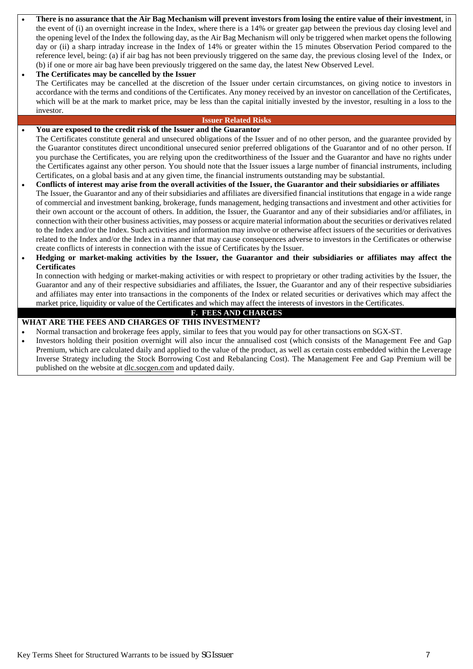- **There is no assurance that the Air Bag Mechanism will prevent investors from losing the entire value of their investment**, in the event of (i) an overnight increase in the Index, where there is a 14% or greater gap between the previous day closing level and the opening level of the Index the following day, as the Air Bag Mechanism will only be triggered when market opens the following day or (ii) a sharp intraday increase in the Index of 14% or greater within the 15 minutes Observation Period compared to the reference level, being: (a) if air bag has not been previously triggered on the same day, the previous closing level of the Index, or (b) if one or more air bag have been previously triggered on the same day, the latest New Observed Level.
- **The Certificates may be cancelled by the Issuer** The Certificates may be cancelled at the discretion of the Issuer under certain circumstances, on giving notice to investors in accordance with the terms and conditions of the Certificates. Any money received by an investor on cancellation of the Certificates, which will be at the mark to market price, may be less than the capital initially invested by the investor, resulting in a loss to the investor.

#### **Issuer Related Risks**

## **You are exposed to the credit risk of the Issuer and the Guarantor**

The Certificates constitute general and unsecured obligations of the Issuer and of no other person, and the guarantee provided by the Guarantor constitutes direct unconditional unsecured senior preferred obligations of the Guarantor and of no other person. If you purchase the Certificates, you are relying upon the creditworthiness of the Issuer and the Guarantor and have no rights under the Certificates against any other person. You should note that the Issuer issues a large number of financial instruments, including Certificates, on a global basis and at any given time, the financial instruments outstanding may be substantial.

- **Conflicts of interest may arise from the overall activities of the Issuer, the Guarantor and their subsidiaries or affiliates** The Issuer, the Guarantor and any of their subsidiaries and affiliates are diversified financial institutions that engage in a wide range of commercial and investment banking, brokerage, funds management, hedging transactions and investment and other activities for their own account or the account of others. In addition, the Issuer, the Guarantor and any of their subsidiaries and/or affiliates, in connection with their other business activities, may possess or acquire material information about the securities or derivatives related to the Index and/or the Index. Such activities and information may involve or otherwise affect issuers of the securities or derivatives related to the Index and/or the Index in a manner that may cause consequences adverse to investors in the Certificates or otherwise create conflicts of interests in connection with the issue of Certificates by the Issuer.
- **Hedging or market-making activities by the Issuer, the Guarantor and their subsidiaries or affiliates may affect the Certificates**

In connection with hedging or market-making activities or with respect to proprietary or other trading activities by the Issuer, the Guarantor and any of their respective subsidiaries and affiliates, the Issuer, the Guarantor and any of their respective subsidiaries and affiliates may enter into transactions in the components of the Index or related securities or derivatives which may affect the market price, liquidity or value of the Certificates and which may affect the interests of investors in the Certificates.

# **F. FEES AND CHARGES**

## **WHAT ARE THE FEES AND CHARGES OF THIS INVESTMENT?**

- Normal transaction and brokerage fees apply, similar to fees that you would pay for other transactions on SGX-ST.
- Investors holding their position overnight will also incur the annualised cost (which consists of the Management Fee and Gap Premium, which are calculated daily and applied to the value of the product, as well as certain costs embedded within the Leverage Inverse Strategy including the Stock Borrowing Cost and Rebalancing Cost). The Management Fee and Gap Premium will be published on the website at dlc.socgen.com and updated daily.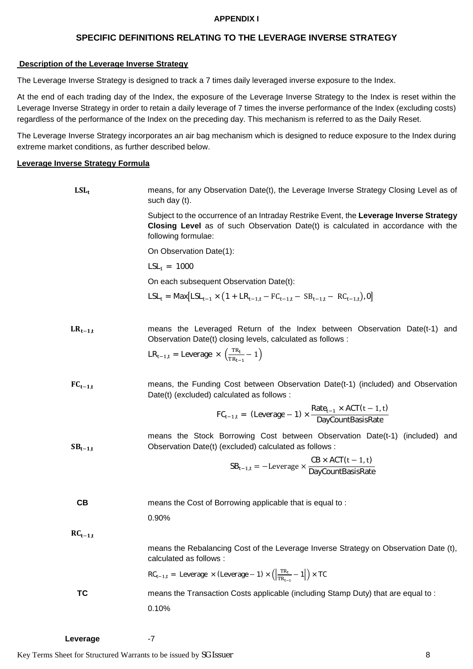### **APPENDIX I**

## **SPECIFIC DEFINITIONS RELATING TO THE LEVERAGE INVERSE STRATEGY**

### **Description of the Leverage Inverse Strategy**

The Leverage Inverse Strategy is designed to track a 7 times daily leveraged inverse exposure to the Index.

At the end of each trading day of the Index, the exposure of the Leverage Inverse Strategy to the Index is reset within the Leverage Inverse Strategy in order to retain a daily leverage of 7 times the inverse performance of the Index (excluding costs) regardless of the performance of the Index on the preceding day. This mechanism is referred to as the Daily Reset.

The Leverage Inverse Strategy incorporates an air bag mechanism which is designed to reduce exposure to the Index during extreme market conditions, as further described below.

### **Leverage Inverse Strategy Formula**

| $LSL_t$      | means, for any Observation Date(t), the Leverage Inverse Strategy Closing Level as of<br>such day (t).                                                                                                              |
|--------------|---------------------------------------------------------------------------------------------------------------------------------------------------------------------------------------------------------------------|
|              | Subject to the occurrence of an Intraday Restrike Event, the Leverage Inverse Strategy<br><b>Closing Level</b> as of such Observation Date(t) is calculated in accordance with the<br>following formulae:           |
|              | On Observation Date(1):                                                                                                                                                                                             |
|              | $LSL_1 = 1000$                                                                                                                                                                                                      |
|              | On each subsequent Observation Date(t):                                                                                                                                                                             |
|              | $LSL_t = Max[LSL_{t-1} \times (1 + LR_{t-1,t} - FC_{t-1,t} - SB_{t-1,t} - RC_{t-1,t}), 0]$                                                                                                                          |
| $LR_{t-1,t}$ | means the Leveraged Return of the Index between Observation Date(t-1) and<br>Observation Date(t) closing levels, calculated as follows :<br>$LR_{t-1,t}$ = Leverage $\times \left(\frac{TR_t}{TR_{t-1}} - 1\right)$ |
| $FC_{t-1,t}$ | means, the Funding Cost between Observation Date(t-1) (included) and Observation<br>Date(t) (excluded) calculated as follows :                                                                                      |
|              | $FC_{t-1,t}$ = (Leverage - 1) $\times \frac{Rate_{t-1} \times ACT(t-1,t)}{DavidCountBasisRate}$                                                                                                                     |
| $SB_{t-1,t}$ | means the Stock Borrowing Cost between Observation Date(t-1) (included) and<br>Observation Date(t) (excluded) calculated as follows :                                                                               |
|              | $SB_{t-1,t} = -Leverage \times \frac{CB \times ACT(t-1,t)}{DayCountBasisRate}$                                                                                                                                      |
| CВ           | means the Cost of Borrowing applicable that is equal to:                                                                                                                                                            |
|              | 0.90%                                                                                                                                                                                                               |
| $RC_{t-1,t}$ |                                                                                                                                                                                                                     |
|              | means the Rebalancing Cost of the Leverage Inverse Strategy on Observation Date (t),<br>calculated as follows :                                                                                                     |
|              | $RC_{t-1,t}$ = Leverage $\times$ (Leverage - 1) $\times \left(\left \frac{TR_{t-1}}{TR_{t-1}}-1\right \right) \times TC$                                                                                            |
| TC           | means the Transaction Costs applicable (including Stamp Duty) that are equal to:                                                                                                                                    |
|              | 0.10%                                                                                                                                                                                                               |
|              |                                                                                                                                                                                                                     |

Leverage -7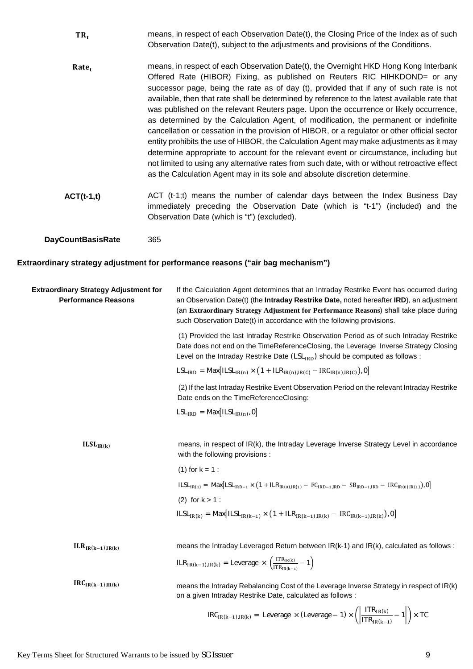- $TR_t$  means, in respect of each Observation Date(t), the Closing Price of the Index as of such Observation Date(t), subject to the adjustments and provisions of the Conditions.
- Rate. The means, in respect of each Observation Date(t), the Overnight HKD Hong Kong Interbank Offered Rate (HIBOR) Fixing, as published on Reuters RIC HIHKDOND= or any successor page, being the rate as of day (t), provided that if any of such rate is not available, then that rate shall be determined by reference to the latest available rate that was published on the relevant Reuters page. Upon the occurrence or likely occurrence, as determined by the Calculation Agent, of modification, the permanent or indefinite cancellation or cessation in the provision of HIBOR, or a regulator or other official sector entity prohibits the use of HIBOR, the Calculation Agent may make adjustments as it may determine appropriate to account for the relevant event or circumstance, including but not limited to using any alternative rates from such date, with or without retroactive effect as the Calculation Agent may in its sole and absolute discretion determine.
- **ACT(t-1,t)** ACT (t-1;t) means the number of calendar days between the Index Business Day immediately preceding the Observation Date (which is "t-1") (included) and the Observation Date (which is "t") (excluded).

**DayCountBasisRate** 365

#### **Extraordinary strategy adjustment for performance reasons ("air bag mechanism")**

| <b>Extraordinary Strategy Adjustment for</b><br><b>Performance Reasons</b> | If the Calculation Agent determines that an Intraday Restrike Event has occurred during<br>an Observation Date(t) (the Intraday Restrike Date, noted hereafter IRD), an adjustment<br>(an Extraordinary Strategy Adjustment for Performance Reasons) shall take place during<br>such Observation Date(t) in accordance with the following provisions. |
|----------------------------------------------------------------------------|-------------------------------------------------------------------------------------------------------------------------------------------------------------------------------------------------------------------------------------------------------------------------------------------------------------------------------------------------------|
|                                                                            | (1) Provided the last Intraday Restrike Observation Period as of such Intraday Restrike<br>Date does not end on the TimeReferenceClosing, the Leverage Inverse Strategy Closing<br>Level on the Intraday Restrike Date $(LSL_{\text{IRD}})$ should be computed as follows :                                                                           |
|                                                                            | $LSLIRD = Max[ILSLIR(n) × (1 + ILRIR(n),IR(C) - IRCIR(n),IR(C)),0]$                                                                                                                                                                                                                                                                                   |
|                                                                            | (2) If the last Intraday Restrike Event Observation Period on the relevant Intraday Restrike<br>Date ends on the TimeReferenceClosing:                                                                                                                                                                                                                |
|                                                                            | $LSLIRD = Max[ILSLIR(n), 0]$                                                                                                                                                                                                                                                                                                                          |
|                                                                            |                                                                                                                                                                                                                                                                                                                                                       |
| ILSL <sub>IR(k)</sub>                                                      | means, in respect of IR(k), the Intraday Leverage Inverse Strategy Level in accordance<br>with the following provisions :                                                                                                                                                                                                                             |
|                                                                            | $(1)$ for $k = 1$ :                                                                                                                                                                                                                                                                                                                                   |
|                                                                            | $\text{ILSL}_{IR(1)} = \text{Max}[\text{LSL}_{IRD-1} \times (1 + \text{ILR}_{IR(0),IR(1)} - \text{FC}_{IRD-1,IRD} - \text{SB}_{IRD-1,IRD} - \text{IRC}_{IR(0),IR(1)}), 0]$                                                                                                                                                                            |
|                                                                            | (2) for $k > 1$ :                                                                                                                                                                                                                                                                                                                                     |
|                                                                            | $\text{ILSL}_{\text{IR}(k)} = \text{Max} \big[\text{ILSL}_{\text{IR}(k-1)} \times \big(1 + \text{ILR}_{\text{IR}(k-1),\text{IR}(k)} - \text{IRC}_{\text{IR}(k-1),\text{IR}(k)}\big), 0\big]$                                                                                                                                                          |
|                                                                            |                                                                                                                                                                                                                                                                                                                                                       |
| $ILR_{IR(k-1),IR(k)}$                                                      | means the Intraday Leveraged Return between IR(k-1) and IR(k), calculated as follows :                                                                                                                                                                                                                                                                |
|                                                                            | $ILR_{IR(k-1),IR(k)} = \text{Leverage} \times \left(\frac{ITR_{IR(k)}}{ITR_{IR(k-1)}} - 1\right)$                                                                                                                                                                                                                                                     |
| $IRC_{IR(k-1),IR(k)}$                                                      | means the Intraday Rebalancing Cost of the Leverage Inverse Strategy in respect of IR(k)<br>on a given Intraday Restrike Date, calculated as follows :                                                                                                                                                                                                |
|                                                                            | $\text{IRC}_{\text{IR}(k-1),\text{IR}(k)} = \text{Leverage} \times (\text{Leverage} - 1) \times \left( \left  \frac{\text{ITR}_{\text{IR}(k)}}{\text{ITR}_{\text{IR}(k-1)}} - 1 \right  \right) \times \text{TC}$                                                                                                                                     |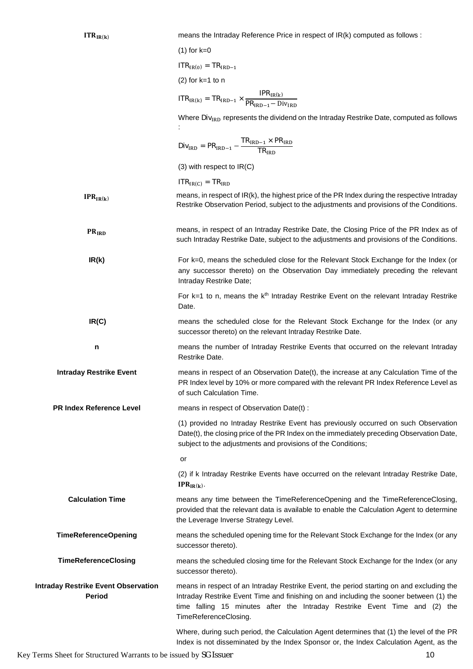| ITR <sub>IR(k)</sub>                                        | means the Intraday Reference Price in respect of IR(k) computed as follows :                                                                                                                                                                                                              |
|-------------------------------------------------------------|-------------------------------------------------------------------------------------------------------------------------------------------------------------------------------------------------------------------------------------------------------------------------------------------|
|                                                             | $(1)$ for $k=0$                                                                                                                                                                                                                                                                           |
|                                                             | $ITRIR(0) = TRIRD-1$                                                                                                                                                                                                                                                                      |
|                                                             | $(2)$ for k=1 to n                                                                                                                                                                                                                                                                        |
|                                                             | $\text{ITR}_{\text{IR(k)}} = \text{TR}_{\text{IRD}-1} \times \frac{\text{IPR}_{\text{IR(k)}}}{\text{PR}_{\text{IRD}-1} - \text{Div}_{\text{IRD}}}$                                                                                                                                        |
|                                                             | Where Div <sub>IRD</sub> represents the dividend on the Intraday Restrike Date, computed as follows                                                                                                                                                                                       |
|                                                             | $Div_{\text{IRD}} = PR_{\text{IRD}-1} - \frac{TR_{\text{IRD}-1} \times PR_{\text{IRD}}}{TR_{\text{IPD}}}$                                                                                                                                                                                 |
|                                                             | $(3)$ with respect to $IR(C)$                                                                                                                                                                                                                                                             |
|                                                             | $ITRIR(C) = TRIRD$                                                                                                                                                                                                                                                                        |
| $IPR_{IR(k)}$                                               | means, in respect of IR(k), the highest price of the PR Index during the respective Intraday<br>Restrike Observation Period, subject to the adjustments and provisions of the Conditions.                                                                                                 |
| <b>PRIRD</b>                                                | means, in respect of an Intraday Restrike Date, the Closing Price of the PR Index as of<br>such Intraday Restrike Date, subject to the adjustments and provisions of the Conditions.                                                                                                      |
| IR(k)                                                       | For k=0, means the scheduled close for the Relevant Stock Exchange for the Index (or<br>any successor thereto) on the Observation Day immediately preceding the relevant<br>Intraday Restrike Date;                                                                                       |
|                                                             | For $k=1$ to n, means the $kth$ Intraday Restrike Event on the relevant Intraday Restrike<br>Date.                                                                                                                                                                                        |
| IR(C)                                                       | means the scheduled close for the Relevant Stock Exchange for the Index (or any<br>successor thereto) on the relevant Intraday Restrike Date.                                                                                                                                             |
| n                                                           | means the number of Intraday Restrike Events that occurred on the relevant Intraday<br>Restrike Date.                                                                                                                                                                                     |
| <b>Intraday Restrike Event</b>                              | means in respect of an Observation Date(t), the increase at any Calculation Time of the<br>PR Index level by 10% or more compared with the relevant PR Index Reference Level as<br>of such Calculation Time.                                                                              |
| <b>PR Index Reference Level</b>                             | means in respect of Observation Date(t) :                                                                                                                                                                                                                                                 |
|                                                             | (1) provided no Intraday Restrike Event has previously occurred on such Observation<br>Date(t), the closing price of the PR Index on the immediately preceding Observation Date,<br>subject to the adjustments and provisions of the Conditions;                                          |
|                                                             | or                                                                                                                                                                                                                                                                                        |
|                                                             | (2) if k Intraday Restrike Events have occurred on the relevant Intraday Restrike Date,<br>$IPR_{IR(k)}$ .                                                                                                                                                                                |
| <b>Calculation Time</b>                                     | means any time between the TimeReferenceOpening and the TimeReferenceClosing,<br>provided that the relevant data is available to enable the Calculation Agent to determine<br>the Leverage Inverse Strategy Level.                                                                        |
| <b>TimeReferenceOpening</b>                                 | means the scheduled opening time for the Relevant Stock Exchange for the Index (or any<br>successor thereto).                                                                                                                                                                             |
| <b>TimeReferenceClosing</b>                                 | means the scheduled closing time for the Relevant Stock Exchange for the Index (or any<br>successor thereto).                                                                                                                                                                             |
| <b>Intraday Restrike Event Observation</b><br><b>Period</b> | means in respect of an Intraday Restrike Event, the period starting on and excluding the<br>Intraday Restrike Event Time and finishing on and including the sooner between (1) the<br>time falling 15 minutes after the Intraday Restrike Event Time and (2) the<br>TimeReferenceClosing. |
|                                                             | Where, during such period, the Calculation Agent determines that (1) the level of the PR<br>Index is not disseminated by the Index Sponsor or, the Index Calculation Agent, as the                                                                                                        |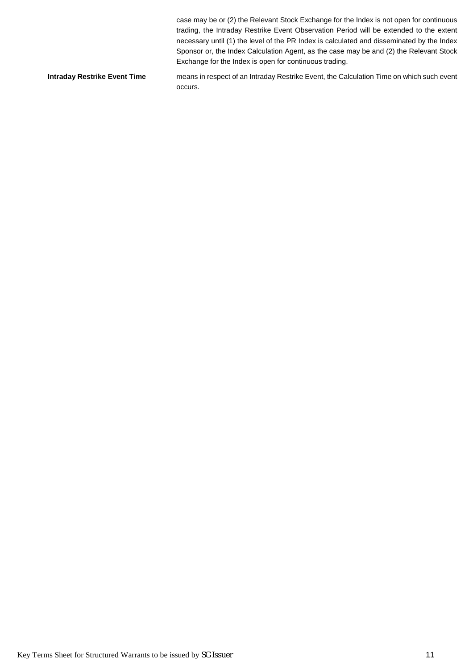case may be or (2) the Relevant Stock Exchange for the Index is not open for continuous trading, the Intraday Restrike Event Observation Period will be extended to the extent necessary until (1) the level of the PR Index is calculated and disseminated by the Index Sponsor or, the Index Calculation Agent, as the case may be and (2) the Relevant Stock Exchange for the Index is open for continuous trading. **Intraday Restrike Event Time** means in respect of an Intraday Restrike Event, the Calculation Time on which such event occurs.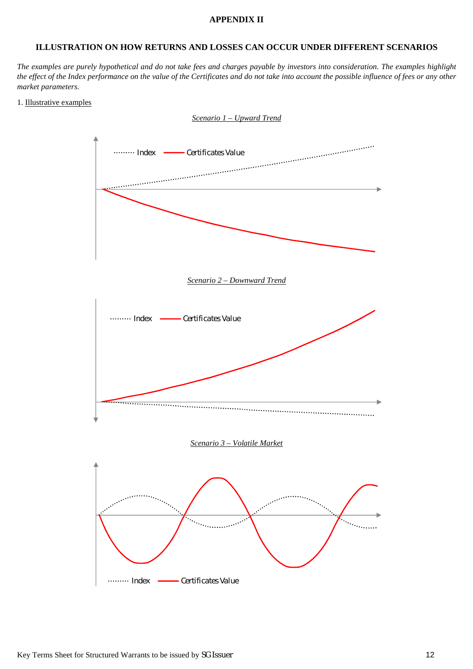### **APPENDIX II**

### **ILLUSTRATION ON HOW RETURNS AND LOSSES CAN OCCUR UNDER DIFFERENT SCENARIOS**

*The examples are purely hypothetical and do not take fees and charges payable by investors into consideration. The examples highlight the effect of the Index performance on the value of the Certificates and do not take into account the possible influence of fees or any other market parameters*.

#### 1. Illustrative examples

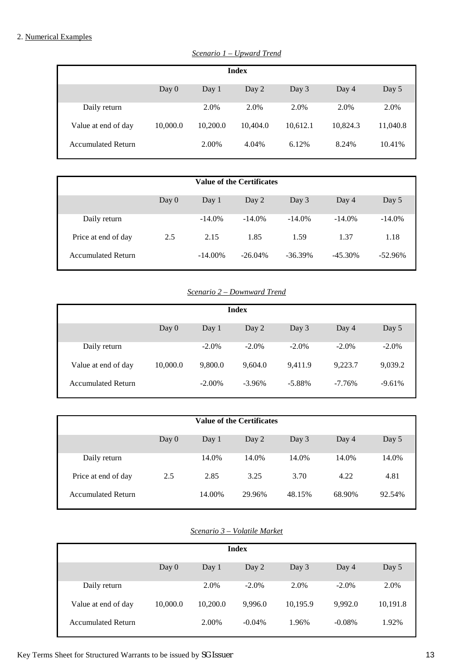## 2. Numerical Examples

| Day 0    | Day 1    | Day 2    | Day 3        | Day 4    | Day 5    |
|----------|----------|----------|--------------|----------|----------|
|          | 2.0%     | 2.0%     | 2.0%         | 2.0%     | 2.0%     |
| 10,000.0 | 10,200.0 | 10,404.0 | 10,612.1     | 10,824.3 | 11,040.8 |
|          | 2.00%    | 4.04%    | 6.12%        | 8.24%    | 10.41%   |
|          |          |          | <b>Index</b> |          |          |

*Scenario 1 – Upward Trend*

|                           |         |            | <b>Value of the Certificates</b> |            |            |           |
|---------------------------|---------|------------|----------------------------------|------------|------------|-----------|
|                           | Day $0$ | Day 1      | Day 2                            | Day 3      | Day 4      | Day 5     |
| Daily return              |         | $-14.0%$   | $-14.0%$                         | $-14.0\%$  | $-14.0\%$  | $-14.0\%$ |
| Price at end of day       | 2.5     | 2.15       | 1.85                             | 1.59       | 1.37       | 1.18      |
| <b>Accumulated Return</b> |         | $-14.00\%$ | $-26.04\%$                       | $-36.39\%$ | $-45.30\%$ | $-52.96%$ |

## *Scenario 2 – Downward Trend*

|                           |          |           | <b>Index</b> |           |          |          |
|---------------------------|----------|-----------|--------------|-----------|----------|----------|
|                           | Day $0$  | Day 1     | Day 2        | Day 3     | Day 4    | Day 5    |
| Daily return              |          | $-2.0\%$  | $-2.0\%$     | $-2.0\%$  | $-2.0\%$ | $-2.0\%$ |
| Value at end of day       | 10,000.0 | 9,800.0   | 9,604.0      | 9,411.9   | 9,223.7  | 9,039.2  |
| <b>Accumulated Return</b> |          | $-2.00\%$ | $-3.96%$     | $-5.88\%$ | $-7.76%$ | $-9.61%$ |

| Value of the Certificates |         |        |        |        |        |        |  |
|---------------------------|---------|--------|--------|--------|--------|--------|--|
|                           | Day $0$ | Day 1  | Day 2  | Day 3  | Day 4  | Day 5  |  |
| Daily return              |         | 14.0%  | 14.0%  | 14.0%  | 14.0%  | 14.0%  |  |
| Price at end of day       | 2.5     | 2.85   | 3.25   | 3.70   | 4.22   | 4.81   |  |
| <b>Accumulated Return</b> |         | 14.00% | 29.96% | 48.15% | 68.90% | 92.54% |  |

## *Scenario 3 – Volatile Market*

| <b>Index</b>              |          |          |           |          |           |          |  |
|---------------------------|----------|----------|-----------|----------|-----------|----------|--|
|                           | Day $0$  | Day 1    | Day 2     | Day 3    | Day 4     | Day 5    |  |
| Daily return              |          | 2.0%     | $-2.0\%$  | 2.0%     | $-2.0\%$  | 2.0%     |  |
| Value at end of day       | 10,000.0 | 10,200.0 | 9.996.0   | 10,195.9 | 9.992.0   | 10,191.8 |  |
| <b>Accumulated Return</b> |          | 2.00%    | $-0.04\%$ | 1.96%    | $-0.08\%$ | 1.92%    |  |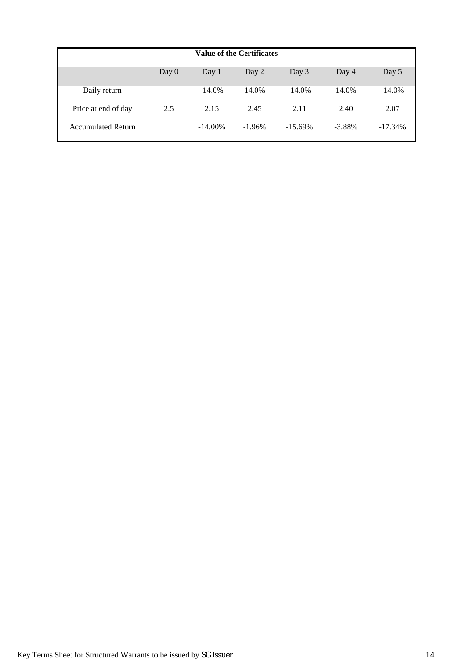| <b>Value of the Certificates</b> |       |            |          |            |           |           |  |
|----------------------------------|-------|------------|----------|------------|-----------|-----------|--|
|                                  | Day 0 | Day 1      | Day 2    | Day 3      | Day 4     | Day 5     |  |
| Daily return                     |       | $-14.0\%$  | 14.0%    | $-14.0\%$  | 14.0%     | $-14.0\%$ |  |
| Price at end of day              | 2.5   | 2.15       | 2.45     | 2.11       | 2.40      | 2.07      |  |
| <b>Accumulated Return</b>        |       | $-14.00\%$ | $-1.96%$ | $-15.69\%$ | $-3.88\%$ | $-17.34%$ |  |